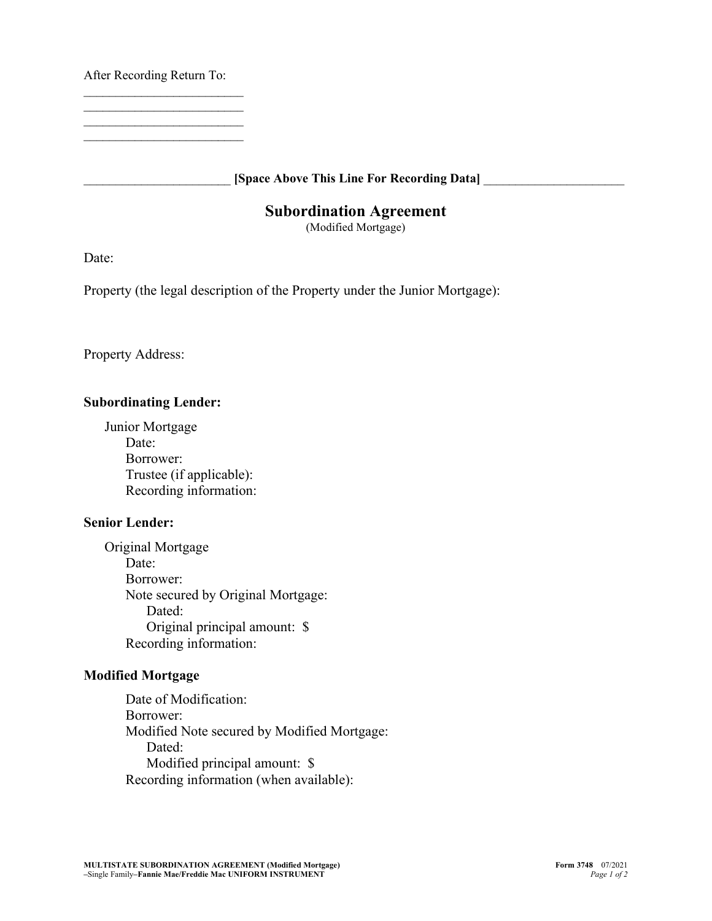After Recording Return To:

\_\_\_\_\_\_\_\_\_\_\_\_\_\_\_\_\_\_\_\_\_\_\_\_\_  $\mathcal{L}_\text{max}$  , where  $\mathcal{L}_\text{max}$  , we have the set of the set of the set of the set of the set of the set of the set of the set of the set of the set of the set of the set of the set of the set of the set of the set of  $\mathcal{L}_\text{max}$  , where  $\mathcal{L}_\text{max}$  , we have the set of the set of the set of the set of the set of the set of the set of the set of the set of the set of the set of the set of the set of the set of the set of the set of \_\_\_\_\_\_\_\_\_\_\_\_\_\_\_\_\_\_\_\_\_\_\_\_\_

\_\_\_\_\_\_\_\_\_\_\_\_\_\_\_\_\_\_\_\_\_\_\_ **[Space Above This Line For Recording Data]** \_\_\_\_\_\_\_\_\_\_\_\_\_\_\_\_\_\_\_\_\_\_

## **Subordination Agreement**

(Modified Mortgage)

Date:

Property (the legal description of the Property under the Junior Mortgage):

Property Address:

## **Subordinating Lender:**

Junior Mortgage Date: Borrower: Trustee (if applicable): Recording information:

## **Senior Lender:**

Original Mortgage Date: Borrower: Note secured by Original Mortgage: Dated: Original principal amount: \$ Recording information:

## **Modified Mortgage**

Date of Modification: Borrower: Modified Note secured by Modified Mortgage: Dated: Modified principal amount: \$ Recording information (when available):